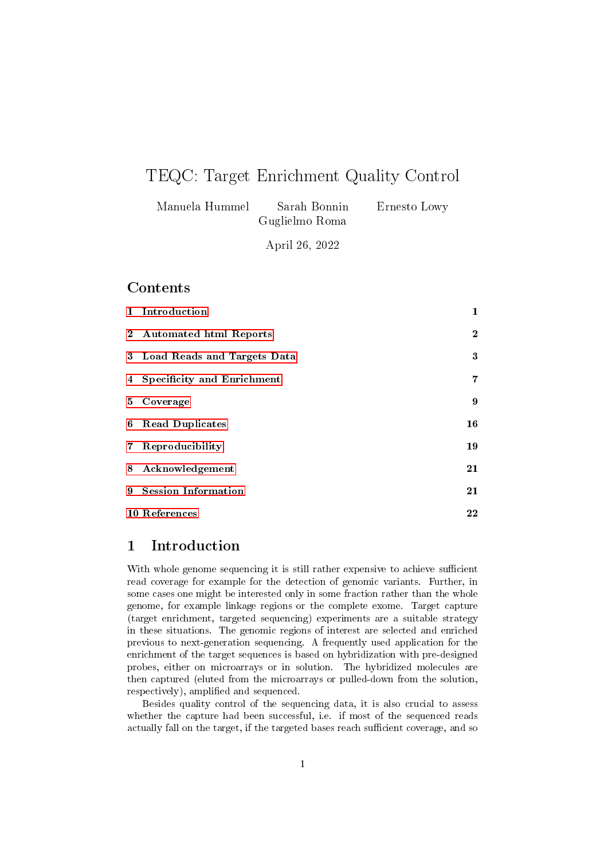# TEQC: Target Enrichment Quality Control

| Manuela Hummel | Sarah Bonnin | Ernesto Lowy |
|----------------|--------------|--------------|
|                |              |              |

April 26, 2022

### **Contents**

| 1 Introduction                | $\mathbf{1}$   |
|-------------------------------|----------------|
| 2 Automated html Reports      | $\overline{2}$ |
| 3 Load Reads and Targets Data | 3              |
| 4 Specificity and Enrichment  | 7              |
| 5 Coverage                    | 9              |
| 6 Read Duplicates             | 16             |
| 7 Reproducibility             | 19             |
| 8 Acknowledgement             | 21             |
| 9 Session Information         | 21             |
| 10 References                 | 22             |

# <span id="page-0-0"></span>1 Introduction

With whole genome sequencing it is still rather expensive to achieve sufficient read coverage for example for the detection of genomic variants. Further, in some cases one might be interested only in some fraction rather than the whole genome, for example linkage regions or the complete exome. Target capture (target enrichment, targeted sequencing) experiments are a suitable strategy in these situations. The genomic regions of interest are selected and enriched previous to next-generation sequencing. A frequently used application for the enrichment of the target sequences is based on hybridization with pre-designed probes, either on microarrays or in solution. The hybridized molecules are then captured (eluted from the microarrays or pulled-down from the solution, respectively), amplified and sequenced.

Besides quality control of the sequencing data, it is also crucial to assess whether the capture had been successful, i.e. if most of the sequenced reads actually fall on the target, if the targeted bases reach sufficient coverage, and so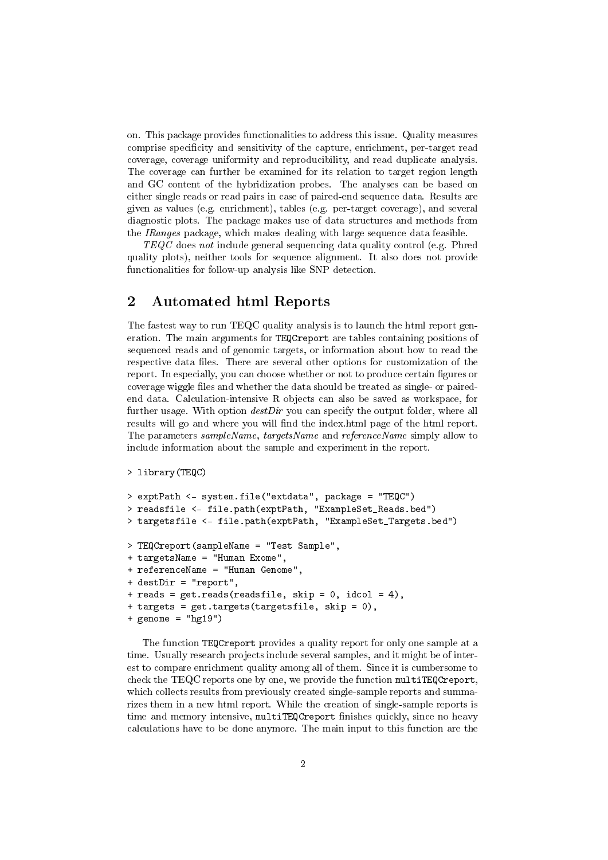on. This package provides functionalities to address this issue. Quality measures comprise specificity and sensitivity of the capture, enrichment, per-target read coverage, coverage uniformity and reproducibility, and read duplicate analysis. The coverage can further be examined for its relation to target region length and GC content of the hybridization probes. The analyses can be based on either single reads or read pairs in case of paired-end sequence data. Results are given as values (e.g. enrichment), tables (e.g. per-target coverage), and several diagnostic plots. The package makes use of data structures and methods from the IRanges package, which makes dealing with large sequence data feasible.

TEQC does not include general sequencing data quality control (e.g. Phred quality plots), neither tools for sequence alignment. It also does not provide functionalities for follow-up analysis like SNP detection.

# <span id="page-1-0"></span>2 Automated html Reports

The fastest way to run TEQC quality analysis is to launch the html report generation. The main arguments for TEQCreport are tables containing positions of sequenced reads and of genomic targets, or information about how to read the respective data files. There are several other options for customization of the report. In especially, you can choose whether or not to produce certain gures or coverage wiggle les and whether the data should be treated as single- or pairedend data. Calculation-intensive R objects can also be saved as workspace, for further usage. With option  $destDir$  you can specify the output folder, where all results will go and where you will find the index.html page of the html report. The parameters sampleName, targetsName and referenceName simply allow to include information about the sample and experiment in the report.

```
> library(TEQC)
```

```
> exptPath <- system.file("extdata", package = "TEQC")
> readsfile <- file.path(exptPath, "ExampleSet_Reads.bed")
> targetsfile <- file.path(exptPath, "ExampleSet_Targets.bed")
> TEQCreport(sampleName = "Test Sample",
+ targetsName = "Human Exome",
+ referenceName = "Human Genome",
+ destDir = "report",
+ reads = get.reads(readsfile, skip = 0, idcol = 4),
+ targets = get.targets(targetsfile, skip = 0),
+ genome = "hg19")
```
The function TEQCreport provides a quality report for only one sample at a time. Usually research projects include several samples, and it might be of interest to compare enrichment quality among all of them. Since it is cumbersome to check the TEQC reports one by one, we provide the function multiTEQCreport, which collects results from previously created single-sample reports and summarizes them in a new html report. While the creation of single-sample reports is time and memory intensive, multiTEQCreport finishes quickly, since no heavy calculations have to be done anymore. The main input to this function are the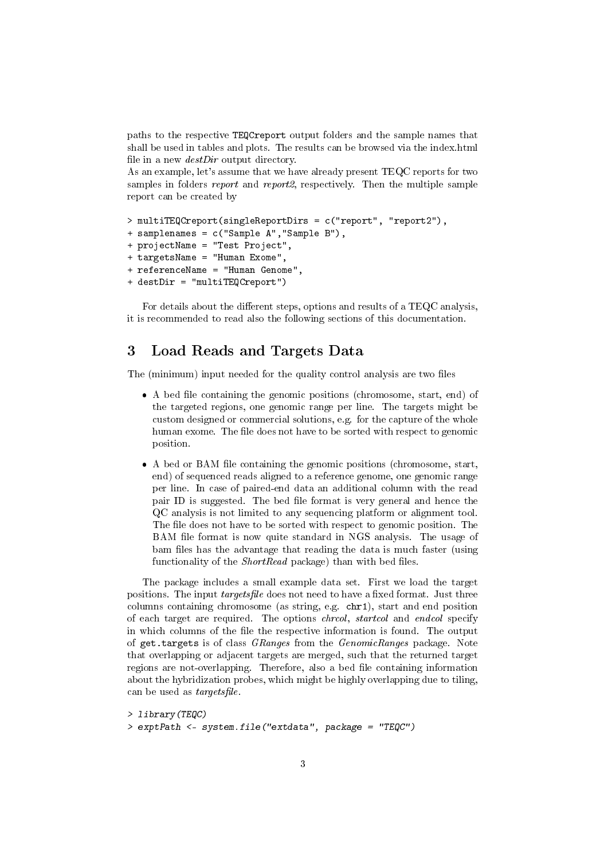paths to the respective TEQCreport output folders and the sample names that shall be used in tables and plots. The results can be browsed via the index.html file in a new  $destDir$  output directory.

As an example, let's assume that we have already present TEQC reports for two samples in folders *report* and *report2*, respectively. Then the multiple sample report can be created by

```
> multiTEQCreport(singleReportDirs = c("report", "report2"),
+ samplenames = c("Sample A","Sample B"),
+ projectName = "Test Project",
+ targetsName = "Human Exome",
+ referenceName = "Human Genome",
+ destDir = "multiTEQCreport")
```
For details about the different steps, options and results of a  $TEQC$  analysis, it is recommended to read also the following sections of this documentation.

# <span id="page-2-0"></span>3 Load Reads and Targets Data

The (minimum) input needed for the quality control analysis are two files

- A bed file containing the genomic positions (chromosome, start, end) of the targeted regions, one genomic range per line. The targets might be custom designed or commercial solutions, e.g. for the capture of the whole human exome. The file does not have to be sorted with respect to genomic position.
- A bed or BAM file containing the genomic positions (chromosome, start, end) of sequenced reads aligned to a reference genome, one genomic range per line. In case of paired-end data an additional column with the read pair ID is suggested. The bed file format is very general and hence the QC analysis is not limited to any sequencing platform or alignment tool. The file does not have to be sorted with respect to genomic position. The BAM file format is now quite standard in NGS analysis. The usage of bam files has the advantage that reading the data is much faster (using functionality of the  $ShortRead$  package) than with bed files.

The package includes a small example data set. First we load the target positions. The input *targetsfile* does not need to have a fixed format. Just three columns containing chromosome (as string, e.g. chr1), start and end position of each target are required. The options chrcol, startcol and endcol specify in which columns of the file the respective information is found. The output of get.targets is of class GRanges from the GenomicRanges package. Note that overlapping or adjacent targets are merged, such that the returned target regions are not-overlapping. Therefore, also a bed file containing information about the hybridization probes, which might be highly overlapping due to tiling, can be used as *targetsfile*.

```
> library(TEQC)
> exptPath <- system.file("extdata", package = "TEQC")
```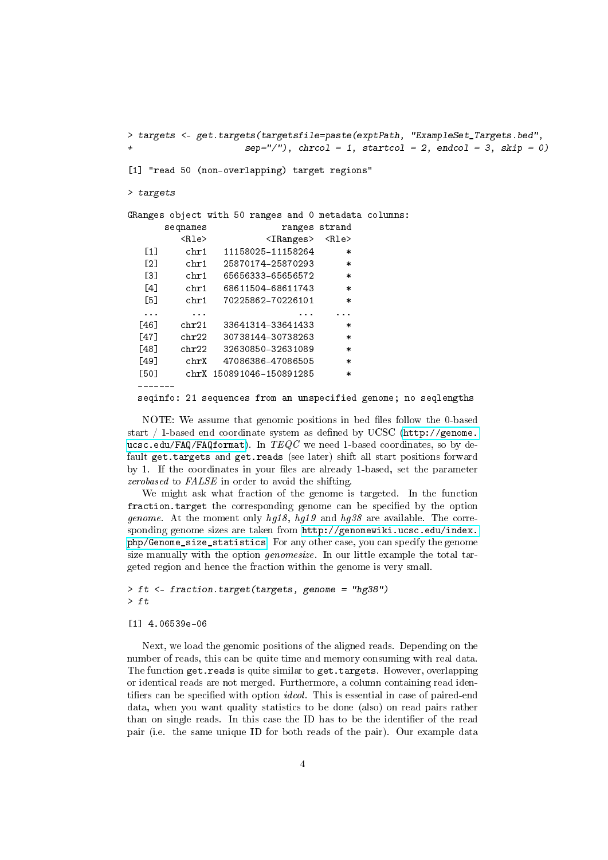> targets <- get.targets(targetsfile=paste(exptPath, "ExampleSet\_Targets.bed",  $sep="1"$ , chrcol = 1, startcol = 2, endcol = 3, skip = 0) [1] "read 50 (non-overlapping) target regions" > targets GRanges object with 50 ranges and 0 metadata columns: seqnames ranges strand <Rle> <IRanges> <Rle> [1] chr1 11158025-11158264 \* [2] chr1 25870174-25870293  $[3]$  chr1 65656333-65656572 [4] chr1 68611504-68611743 [5] chr1 70225862-70226101 ... ... ... ... [46] chr21 33641314-33641433 \* [47] chr22 30738144-30738263 \* [48] chr22 32630850-32631089 [49] chrX 47086386-47086505 \* [50] chrX 150891046-150891285 \* ------ seqinfo: 21 sequences from an unspecified genome; no seqlengths

NOTE: We assume that genomic positions in bed files follow the 0-based start / 1-based end coordinate system as defined by UCSC [\(http://genome.](http://genome.ucsc.edu/FAQ/FAQformat) [ucsc.edu/FAQ/FAQformat\)](http://genome.ucsc.edu/FAQ/FAQformat). In  $TEQC$  we need 1-based coordinates, so by default get.targets and get.reads (see later) shift all start positions forward by 1. If the coordinates in your files are already 1-based, set the parameter zerobased to FALSE in order to avoid the shifting.

We might ask what fraction of the genome is targeted. In the function fraction.target the corresponding genome can be specified by the option *genome.* At the moment only  $hq18$ ,  $hq19$  and  $hq38$  are available. The corresponding genome sizes are taken from [http://genomewiki.ucsc.edu/index.](http://genomewiki.ucsc.edu/index.php/Genome_size_statistics) [php/Genome\\_size\\_statistics.](http://genomewiki.ucsc.edu/index.php/Genome_size_statistics) For any other case, you can specify the genome size manually with the option genomesize. In our little example the total targeted region and hence the fraction within the genome is very small.

```
> ft <- fraction.target(targets, genome = "hg38")
> ft
```
#### [1] 4.06539e-06

Next, we load the genomic positions of the aligned reads. Depending on the number of reads, this can be quite time and memory consuming with real data. The function get.reads is quite similar to get.targets. However, overlapping or identical reads are not merged. Furthermore, a column containing read identifiers can be specified with option *idcol*. This is essential in case of paired-end data, when you want quality statistics to be done (also) on read pairs rather than on single reads. In this case the ID has to be the identifier of the read pair (i.e. the same unique ID for both reads of the pair). Our example data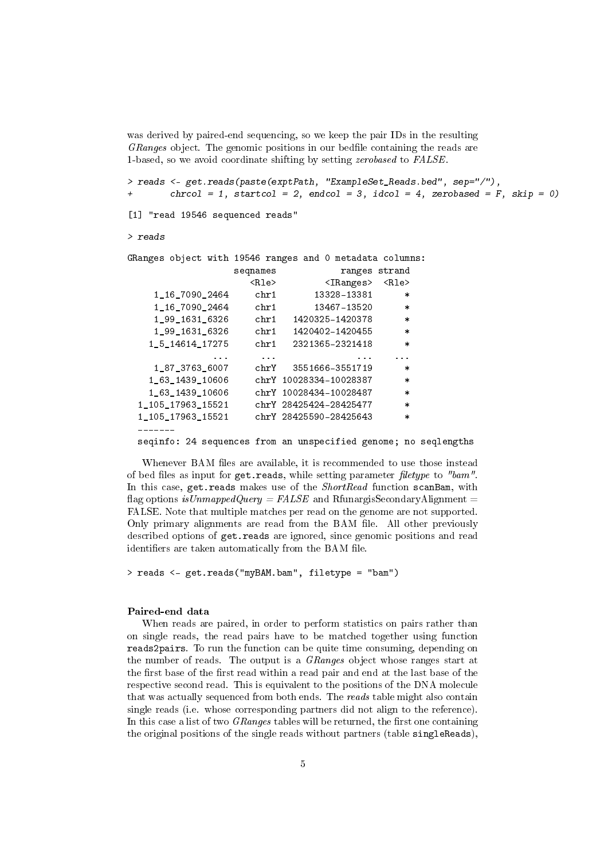was derived by paired-end sequencing, so we keep the pair IDs in the resulting GRanges object. The genomic positions in our bedfile containing the reads are 1-based, so we avoid coordinate shifting by setting *zerobased* to FALSE.

> reads <- get.reads(paste(exptPath, "ExampleSet\_Reads.bed", sep="/"), + chrcol = 1, startcol = 2, endcol = 3, idcol = 4, zerobased =  $F$ , skip = 0)

[1] "read 19546 sequenced reads"

#### > reads

GRanges object with 19546 ranges and 0 metadata columns: seqnames ranges strand <Rle> <IRanges> <Rle> 1\_16\_7090\_2464 chr1 13328-13381 \* 1\_16\_7090\_2464 chr1 13467-13520 \* 1\_99\_1631\_6326 chr1 1420325-1420378 \* 1\_99\_1631\_6326 chr1 1420402-1420455 \* 1\_5\_14614\_17275 chr1 2321365-2321418 \* ... ... ... ... 1\_87\_3763\_6007 chrY 3551666-3551719 \* 1\_63\_1439\_10606 chrY 10028334-10028387 \* 1\_63\_1439\_10606 chrY 10028434-10028487 \* 1\_105\_17963\_15521 chrY 28425424-28425477 \* 1\_105\_17963\_15521 chrY 28425590-28425643 \* -------

seqinfo: 24 sequences from an unspecified genome; no seqlengths

Whenever BAM files are available, it is recommended to use those instead of bed files as input for  $get.reads$ , while setting parameter filetype to "bam". In this case, get.reads makes use of the *ShortRead* function scanBam, with flag options is UnmappedQuery = FALSE and RfunargisSecondaryAlignment = FALSE. Note that multiple matches per read on the genome are not supported. Only primary alignments are read from the BAM file. All other previously described options of get.reads are ignored, since genomic positions and read identifiers are taken automatically from the BAM file.

> reads <- get.reads("myBAM.bam", filetype = "bam")

#### Paired-end data

When reads are paired, in order to perform statistics on pairs rather than on single reads, the read pairs have to be matched together using function reads2pairs. To run the function can be quite time consuming, depending on the number of reads. The output is a GRanges object whose ranges start at the first base of the first read within a read pair and end at the last base of the respective second read. This is equivalent to the positions of the DNA molecule that was actually sequenced from both ends. The reads table might also contain single reads (i.e. whose corresponding partners did not align to the reference). In this case a list of two *GRanges* tables will be returned, the first one containing the original positions of the single reads without partners (table singleReads),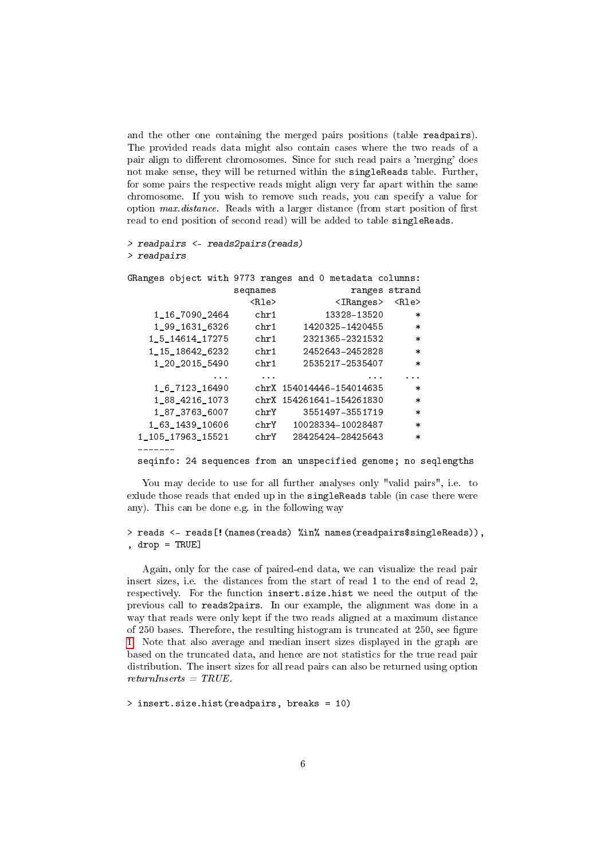and the other one containing the merged pairs positions (table readpairs). The provided reads data might also contain cases where the two reads of a pair align to different chromosomes. Since for such read pairs a 'merging' does not make sense, they will be returned within the singleReads table. Further, for some pairs the respective reads might align very far apart within the same chromosome. If you wish to remove such reads, you can specify a value for option  $max. distance$ . Reads with a larger distance (from start position of first read to end position of second read) will be added to table singleReads.

```
> readpairs <- reads2pairs(reads)
> readpairs
```

| GRanges object with 9773 ranges and 0 metadata columns: |               |                                                                 |          |
|---------------------------------------------------------|---------------|-----------------------------------------------------------------|----------|
|                                                         | seqnames      | ranges strand                                                   |          |
|                                                         | <rle></rle>   | $\langle$ IRanges> $\langle$ Rle>                               |          |
| 1 16 7090 2464                                          | ${\rm chr}$ 1 | 13328-13520                                                     | $\ast$   |
| 1 99 1631 6326 chr1                                     |               | 1420325-1420455                                                 | $\ast$   |
| 1_5_14614_17275                                         | chr1          | 2321365-2321532                                                 | $\ast$   |
| 1 15 18642 6232 chr1                                    |               | 2452643-2452828                                                 | $\ast$   |
| 1 20 2015 5490                                          | ${\rm chr} 1$ | 2535217-2535407                                                 | $\ast$   |
| $\cdots$                                                | $\cdots$      | $\cdots$                                                        | $\cdots$ |
| 1 6 7123 16490                                          |               | chrX 154014446-154014635                                        | $\ast$   |
| 1 88 4216 1073                                          |               | chrX 154261641-154261830                                        | $\ast$   |
| 1 87 3763 6007                                          | ${\rm chrY}$  | 3551497-3551719                                                 | $\ast$   |
| 1 63 1439 10606                                         |               | chrY 10028334-10028487                                          | $\ast$   |
| 1 105 17963 15521                                       |               | chrY 28425424-28425643                                          | $\ast$   |
|                                                         |               |                                                                 |          |
|                                                         |               | seginfo: 24 sequences from an unspecified genome; no seglengths |          |

You may decide to use for all further analyses only "valid pairs", i.e. to exlude those reads that ended up in the singleReads table (in case there were any). This can be done e.g. in the following way

```
> reads <- reads[!(names(reads) %in% names(readpairs$singleReads)),
, drop = TRUE]
```
Again, only for the case of paired-end data, we can visualize the read pair insert sizes, i.e. the distances from the start of read 1 to the end of read 2, respectively. For the function insert.size.hist we need the output of the previous call to reads2pairs. In our example, the alignment was done in a way that reads were only kept if the two reads aligned at a maximum distance of 250 bases. Therefore, the resulting histogram is truncated at 250, see figure [1.](#page-6-1) Note that also average and median insert sizes displayed in the graph are based on the truncated data, and hence are not statistics for the true read pair distribution. The insert sizes for all read pairs can also be returned using option  $returnInserts = TRUE$ .

> insert.size.hist(readpairs, breaks = 10)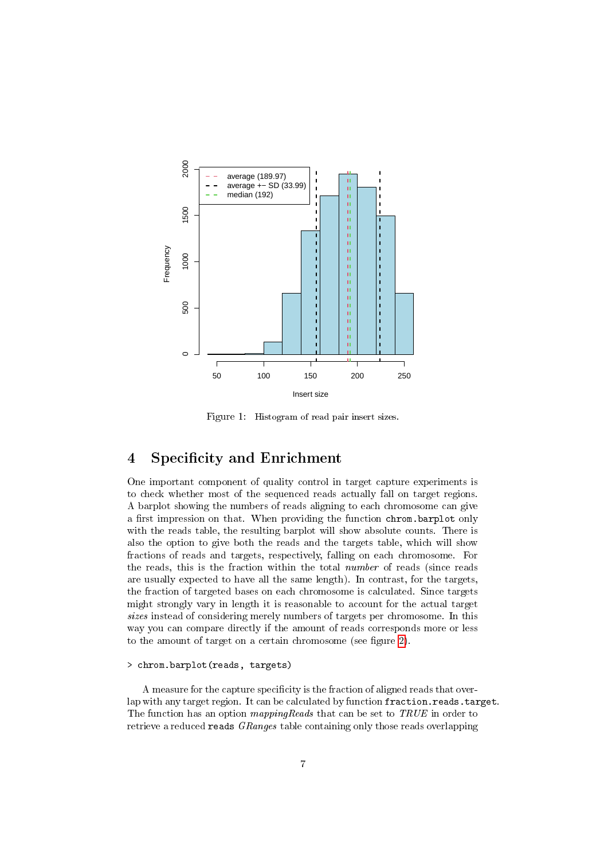

<span id="page-6-1"></span>Figure 1: Histogram of read pair insert sizes.

# <span id="page-6-0"></span>4 Specificity and Enrichment

One important component of quality control in target capture experiments is to check whether most of the sequenced reads actually fall on target regions. A barplot showing the numbers of reads aligning to each chromosome can give a first impression on that. When providing the function chrom.barplot only with the reads table, the resulting barplot will show absolute counts. There is also the option to give both the reads and the targets table, which will show fractions of reads and targets, respectively, falling on each chromosome. For the reads, this is the fraction within the total number of reads (since reads are usually expected to have all the same length). In contrast, for the targets, the fraction of targeted bases on each chromosome is calculated. Since targets might strongly vary in length it is reasonable to account for the actual target sizes instead of considering merely numbers of targets per chromosome. In this way you can compare directly if the amount of reads corresponds more or less to the amount of target on a certain chromosome (see figure [2\)](#page-7-0).

### > chrom.barplot(reads, targets)

A measure for the capture specificity is the fraction of aligned reads that overlap with any target region. It can be calculated by function fraction.reads.target. The function has an option *mappingReads* that can be set to *TRUE* in order to retrieve a reduced reads *GRanges* table containing only those reads overlapping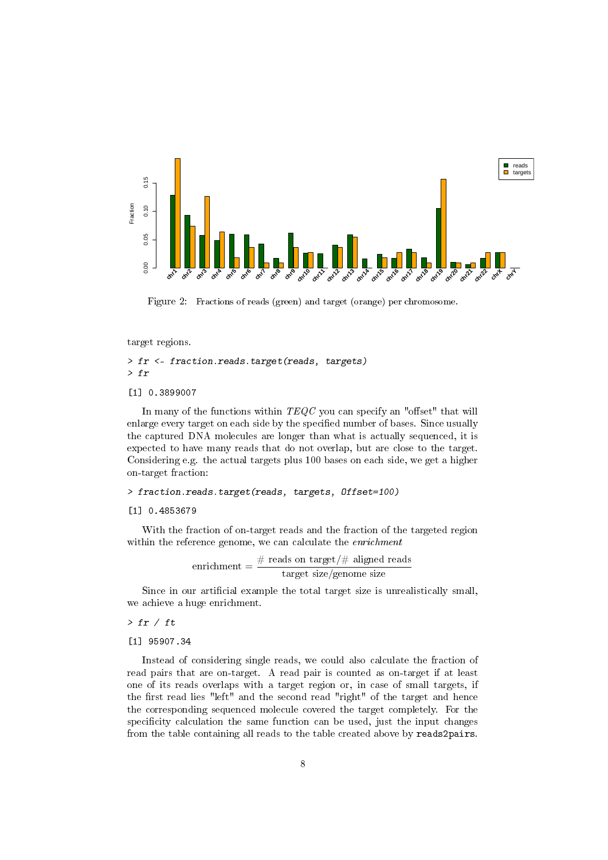

<span id="page-7-0"></span>Figure 2: Fractions of reads (green) and target (orange) per chromosome.

target regions.

> fr <- fraction.reads.target(reads, targets) > fr

[1] 0.3899007

In many of the functions within  $TEQC$  you can specify an "offset" that will enlarge every target on each side by the specified number of bases. Since usually the captured DNA molecules are longer than what is actually sequenced, it is expected to have many reads that do not overlap, but are close to the target. Considering e.g. the actual targets plus 100 bases on each side, we get a higher on-target fraction:

### > fraction.reads.target(reads, targets, Offset=100)

### [1] 0.4853679

With the fraction of on-target reads and the fraction of the targeted region within the reference genome, we can calculate the *enrichment* 

$$
enrichment = \frac{\# \ reads \ on \ target / \# \ aligned \ reads}{\ target \ size/genome \ size}
$$

Since in our artificial example the total target size is unrealistically small, we achieve a huge enrichment.

 $>$  fr / ft

[1] 95907.34

Instead of considering single reads, we could also calculate the fraction of read pairs that are on-target. A read pair is counted as on-target if at least one of its reads overlaps with a target region or, in case of small targets, if the first read lies "left" and the second read "right" of the target and hence the corresponding sequenced molecule covered the target completely. For the specificity calculation the same function can be used, just the input changes from the table containing all reads to the table created above by reads2pairs.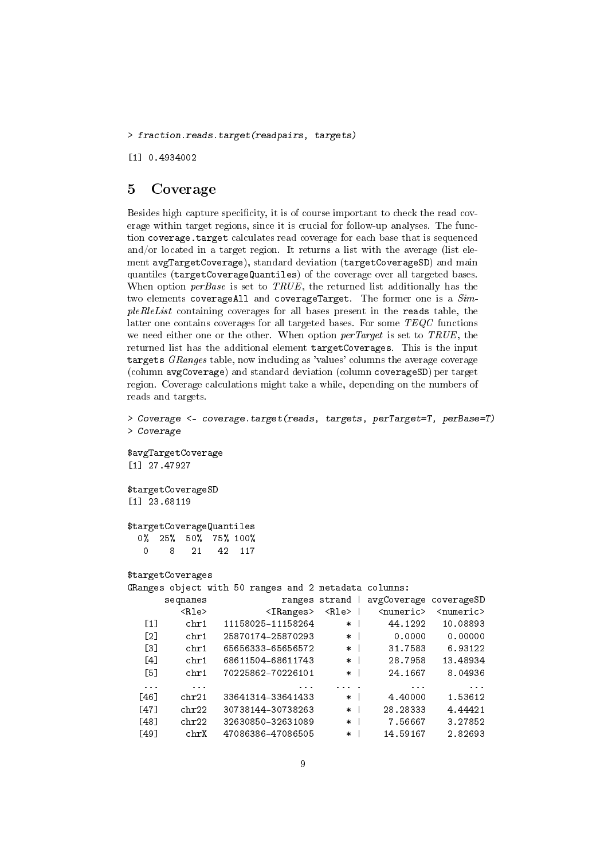> fraction.reads.target(readpairs, targets)

[1] 0.4934002

### <span id="page-8-0"></span>5 Coverage

Besides high capture specificity, it is of course important to check the read coverage within target regions, since it is crucial for follow-up analyses. The function coverage.target calculates read coverage for each base that is sequenced and/or located in a target region. It returns a list with the average (list element avgTargetCoverage), standard deviation (targetCoverageSD) and main quantiles (targetCoverageQuantiles) of the coverage over all targeted bases. When option  $perBase$  is set to TRUE, the returned list additionally has the two elements coverageAll and coverageTarget. The former one is a  $Sim$ pleRleList containing coverages for all bases present in the reads table, the latter one contains coverages for all targeted bases. For some TEQC functions we need either one or the other. When option *perTarget* is set to TRUE, the returned list has the additional element targetCoverages. This is the input targets GRanges table, now including as 'values' columns the average coverage (column avgCoverage) and standard deviation (column coverageSD) per target region. Coverage calculations might take a while, depending on the numbers of reads and targets.

```
> Coverage <- coverage.target(reads, targets, perTarget=T, perBase=T)
> Coverage
$avgTargetCoverage
[1] 27.47927
$targetCoverageSD
[1] 23.68119
$targetCoverageQuantiles
 0% 25% 50% 75% 100%
  0 8 21 42 117
$targetCoverages
GRanges object with 50 ranges and 2 metadata columns:
     seqnames ranges strand avgCoverage coverageSD
        <Rle> <IRanges> <Rle> <numeric> <numeric>
  [1] chr1 11158025-11158264 * | 44.1292 10.08893
  [2] chr1 25870174-25870293 * | 0.0000 0.00000
  [3] chr1 65656333-65656572 * | 31.7583 6.93122
  [4] chr1 68611504-68611743 * | 28.7958 13.48934
  [5] chr1 70225862-70226101 * | 24.1667 8.04936
  ... ... ... ... . ... ...
 [46] chr21 33641314-33641433 * | 4.40000 1.53612
 [47] chr22 30738144-30738263 * | 28.28333 4.44421
 [48] chr22 32630850-32631089 * | 7.56667 3.27852
 [49] chrX 47086386-47086505 * | 14.59167 2.82693
```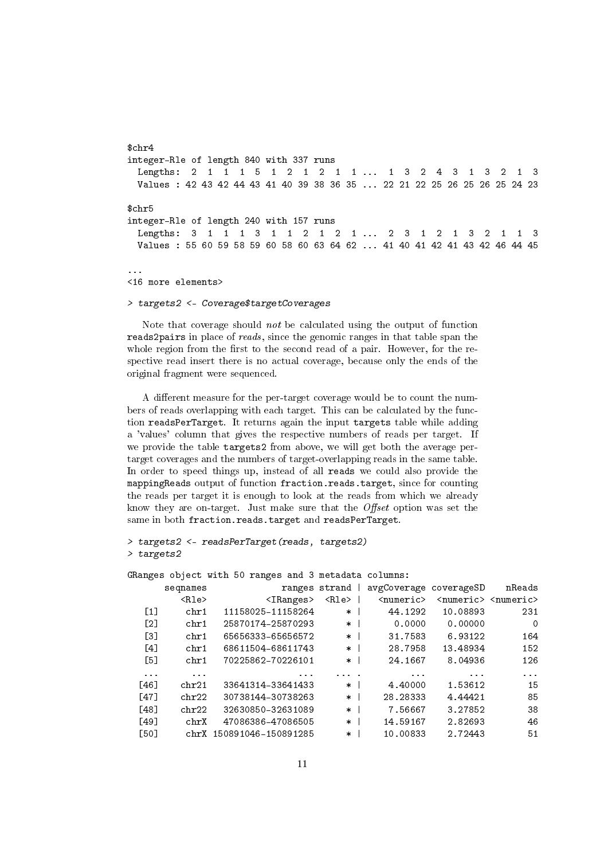\$chr4 integer-Rle of length 840 with 337 runs Lengths: 2 1 1 1 5 1 2 1 2 1 1 ... 1 3 2 4 3 1 3 2 1 3 Values : 42 43 42 44 43 41 40 39 38 36 35 ... 22 21 22 25 26 25 26 25 24 23 \$chr5 integer-Rle of length 240 with 157 runs Lengths: 3 1 1 1 3 1 1 2 1 2 1 ... 2 3 1 2 1 3 2 1 1 3 Values : 55 60 59 58 59 60 58 60 63 64 62 ... 41 40 41 42 41 43 42 46 44 45 ...

<16 more elements>

> targets2 <- Coverage\$targetCoverages

Note that coverage should not be calculated using the output of function reads2pairs in place of reads, since the genomic ranges in that table span the whole region from the first to the second read of a pair. However, for the respective read insert there is no actual coverage, because only the ends of the original fragment were sequenced.

A different measure for the per-target coverage would be to count the numbers of reads overlapping with each target. This can be calculated by the function readsPerTarget. It returns again the input targets table while adding a 'values' column that gives the respective numbers of reads per target. If we provide the table targets2 from above, we will get both the average pertarget coverages and the numbers of target-overlapping reads in the same table. In order to speed things up, instead of all reads we could also provide the mappingReads output of function fraction.reads.target, since for counting the reads per target it is enough to look at the reads from which we already know they are on-target. Just make sure that the  $Offset$  option was set the same in both fraction.reads.target and readsPerTarget.

```
> targets2 <- readsPerTarget(reads, targets2)
> targets2
```
GRanges object with 50 ranges and 3 metadata columns:

|                   | seqnames                | ranges                      | strand      | avgCoverage coverageSD |                             | nReads                      |
|-------------------|-------------------------|-----------------------------|-------------|------------------------|-----------------------------|-----------------------------|
|                   | $\langle$ Rle $\rangle$ | $\langle$ IRanges $\rangle$ | <rle></rle> | <numeric></numeric>    | $\langle$ numeric $\rangle$ | $\langle$ numeric $\rangle$ |
| $\lceil 1 \rceil$ | chr1                    | 11158025-11158264           | $\ast$      | 44.1292                | 10.08893                    | 231                         |
| [2]               | chr1                    | 25870174-25870293           | $\ast$      | 0.0000                 | 0.00000                     | 0                           |
| Г31               | chr1                    | 65656333-65656572           | $\ast$      | 31.7583                | 6.93122                     | 164                         |
| [4]               | chr1                    | 68611504-68611743           | $\ast$      | 28.7958                | 13.48934                    | 152                         |
| [5]               | chr1                    | 70225862-70226101           | $\ast$      | 24.1667                | 8.04936                     | 126                         |
| $\cdots$          | $\cdots$                | $\cdots$                    | $\cdot$ .   | $\cdots$               | $\cdots$                    | $\cdots$                    |
| [46]              | chr21                   | 33641314-33641433           | $\ast$      | 4.40000                | 1.53612                     | 15                          |
| [47]              | chr22                   | 30738144-30738263           | $\ast$      | 28.28333               | 4.44421                     | 85                          |
| [48]              | chr22                   | 32630850-32631089           | $\ast$      | 7.56667                | 3.27852                     | 38                          |
| [49]              | chrX                    | 47086386-47086505           | $\ast$      | 14.59167               | 2.82693                     | 46                          |
| [50]              | chrX                    | 150891046-150891285         | $\ast$      | 10.00833               | 2.72443                     | 51                          |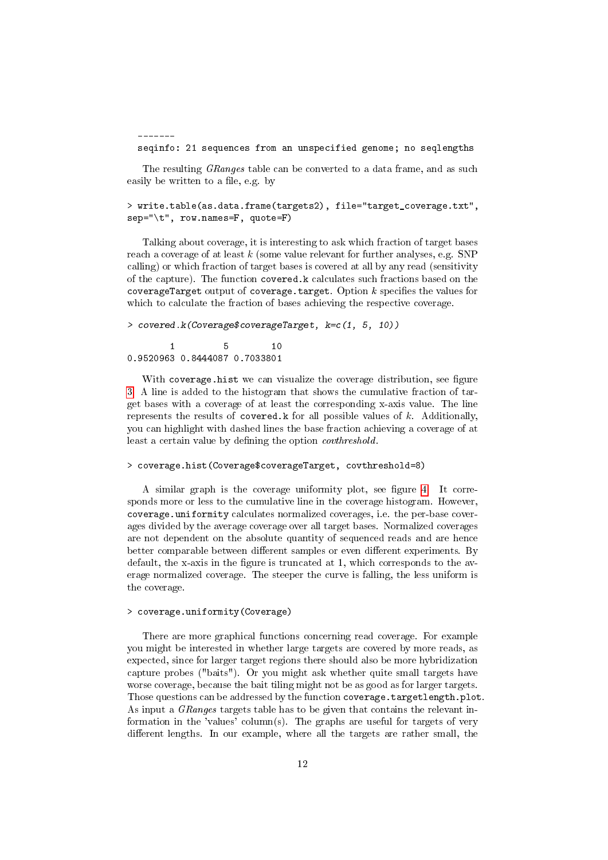------ seqinfo: 21 sequences from an unspecified genome; no seqlengths

The resulting *GRanges* table can be converted to a data frame, and as such easily be written to a file, e.g. by

```
> write.table(as.data.frame(targets2), file="target_coverage.txt",
sep="\t", row.names=F, quote=F)
```
Talking about coverage, it is interesting to ask which fraction of target bases reach a coverage of at least  $k$  (some value relevant for further analyses, e.g. SNP calling) or which fraction of target bases is covered at all by any read (sensitivity of the capture). The function covered.k calculates such fractions based on the coverageTarget output of coverage.target. Option  $k$  specifies the values for which to calculate the fraction of bases achieving the respective coverage.

```
> covered.k(Coverage$coverageTarget, k=c(1, 5, 10))
       1 5 10
0.9520963 0.8444087 0.7033801
```
With coverage.hist we can visualize the coverage distribution, see figure [3.](#page-12-0) A line is added to the histogram that shows the cumulative fraction of target bases with a coverage of at least the corresponding x-axis value. The line represents the results of covered.k for all possible values of  $k$ . Additionally, you can highlight with dashed lines the base fraction achieving a coverage of at least a certain value by defining the option *covthreshold*.

> coverage.hist(Coverage\$coverageTarget, covthreshold=8)

A similar graph is the coverage uniformity plot, see figure [4.](#page-13-0) It corresponds more or less to the cumulative line in the coverage histogram. However, coverage.uniformity calculates normalized coverages, i.e. the per-base coverages divided by the average coverage over all target bases. Normalized coverages are not dependent on the absolute quantity of sequenced reads and are hence better comparable between different samples or even different experiments. By default, the x-axis in the figure is truncated at 1, which corresponds to the average normalized coverage. The steeper the curve is falling, the less uniform is the coverage.

### > coverage.uniformity(Coverage)

There are more graphical functions concerning read coverage. For example you might be interested in whether large targets are covered by more reads, as expected, since for larger target regions there should also be more hybridization capture probes ("baits"). Or you might ask whether quite small targets have worse coverage, because the bait tiling might not be as good as for larger targets. Those questions can be addressed by the function coverage.targetlength.plot. As input a *GRanges* targets table has to be given that contains the relevant information in the 'values' column(s). The graphs are useful for targets of very different lengths. In our example, where all the targets are rather small, the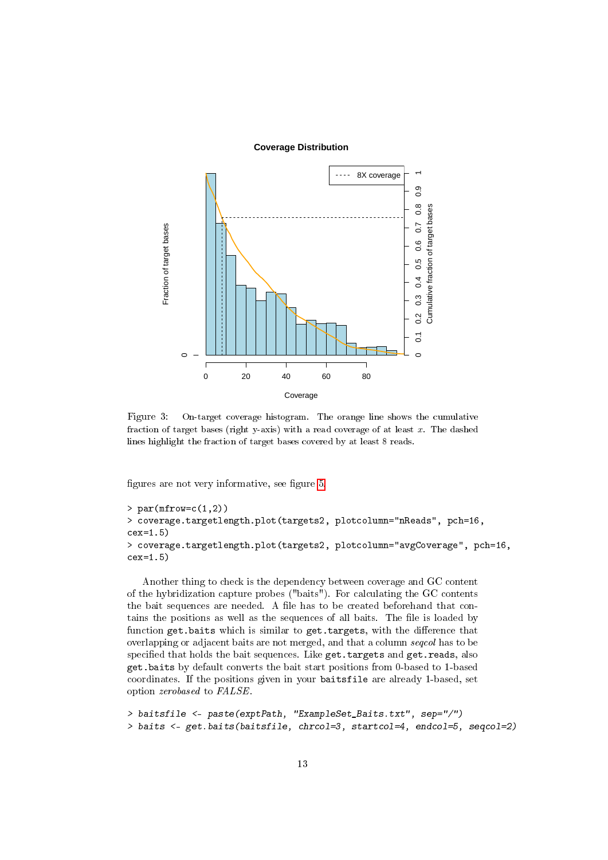#### **Coverage Distribution**



<span id="page-12-0"></span>Figure 3: On-target coverage histogram. The orange line shows the cumulative fraction of target bases (right y-axis) with a read coverage of at least  $x$ . The dashed lines highlight the fraction of target bases covered by at least 8 reads.

figures are not very informative, see figure [5.](#page-13-1)

```
> par(mfrow=c(1,2))> coverage.targetlength.plot(targets2, plotcolumn="nReads", pch=16,
cex=1.5)
> coverage.targetlength.plot(targets2, plotcolumn="avgCoverage", pch=16,
cex=1.5)
```
Another thing to check is the dependency between coverage and GC content of the hybridization capture probes ("baits"). For calculating the GC contents the bait sequences are needed. A file has to be created beforehand that contains the positions as well as the sequences of all baits. The file is loaded by function get.baits which is similar to get.targets, with the difference that overlapping or adjacent baits are not merged, and that a column seqcol has to be specified that holds the bait sequences. Like get.targets and get.reads, also get.baits by default converts the bait start positions from 0-based to 1-based coordinates. If the positions given in your baitsfile are already 1-based, set option zerobased to FALSE.

```
> baitsfile <- paste(exptPath, "ExampleSet_Baits.txt", sep="/")
> baits <- get.baits(baitsfile, chrcol=3, startcol=4, endcol=5, seqcol=2)
```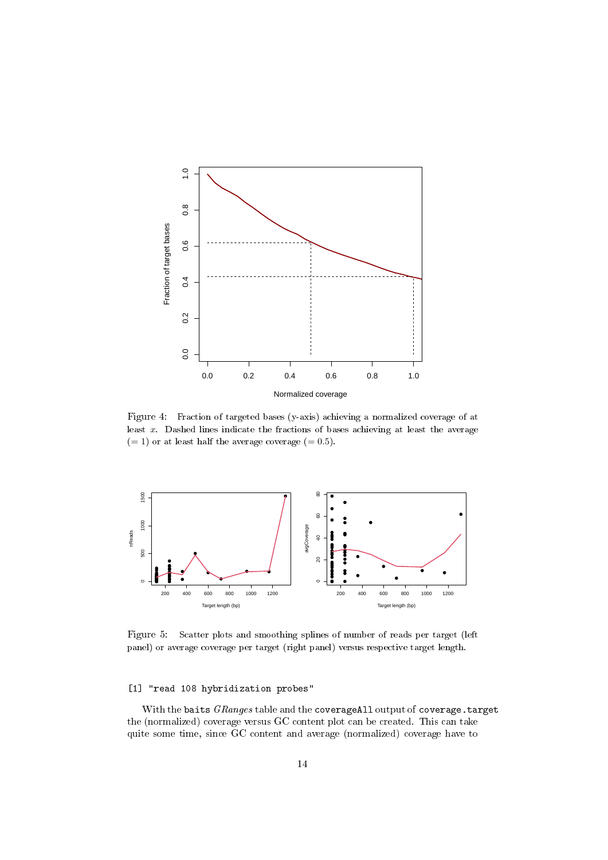

<span id="page-13-0"></span>Figure 4: Fraction of targeted bases (y-axis) achieving a normalized coverage of at least x. Dashed lines indicate the fractions of bases achieving at least the average  $(= 1)$  or at least half the average coverage  $(= 0.5)$ .



<span id="page-13-1"></span>Figure 5: Scatter plots and smoothing splines of number of reads per target (left panel) or average coverage per target (right panel) versus respective target length.

### [1] "read 108 hybridization probes"

With the baits GRanges table and the coverageAll output of coverage.target the (normalized) coverage versus GC content plot can be created. This can take quite some time, since GC content and average (normalized) coverage have to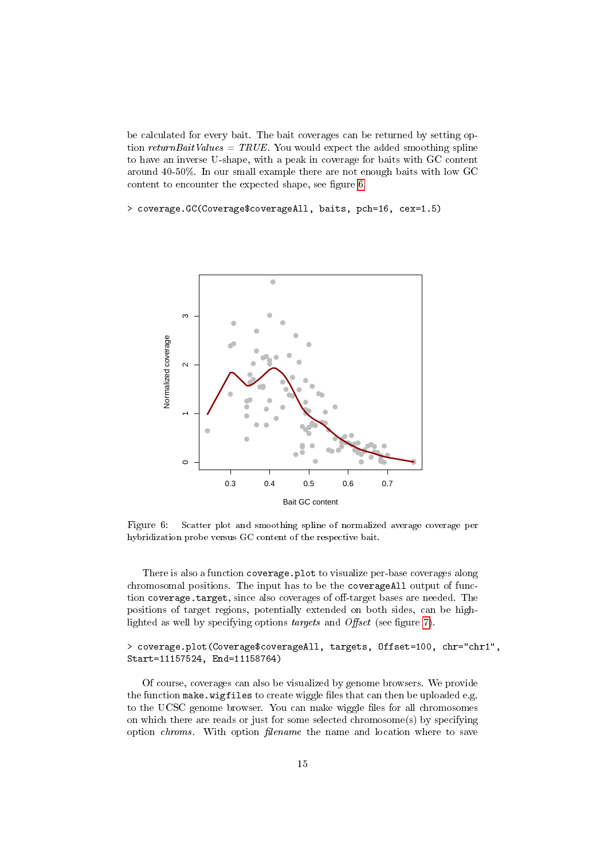be calculated for every bait. The bait coverages can be returned by setting option returnBaitValues = TRUE. You would expect the added smoothing spline to have an inverse U-shape, with a peak in coverage for baits with GC content around 40-50%. In our small example there are not enough baits with low GC content to encounter the expected shape, see figure [6.](#page-14-0)

> coverage.GC(Coverage\$coverageAll, baits, pch=16, cex=1.5)



<span id="page-14-0"></span>Figure 6: Scatter plot and smoothing spline of normalized average coverage per hybridization probe versus GC content of the respective bait.

There is also a function coverage.plot to visualize per-base coverages along chromosomal positions. The input has to be the coverageAll output of function coverage.target, since also coverages of off-target bases are needed. The positions of target regions, potentially extended on both sides, can be highlighted as well by specifying options *targets* and *Offset* (see figure [7\)](#page-15-1).

> coverage.plot(Coverage\$coverageAll, targets, Offset=100, chr="chr1", Start=11157524, End=11158764)

Of course, coverages can also be visualized by genome browsers. We provide the function make.wigfiles to create wiggle files that can then be uploaded e.g. to the UCSC genome browser. You can make wiggle files for all chromosomes on which there are reads or just for some selected chromosome(s) by specifying option *chroms*. With option *filename* the name and location where to save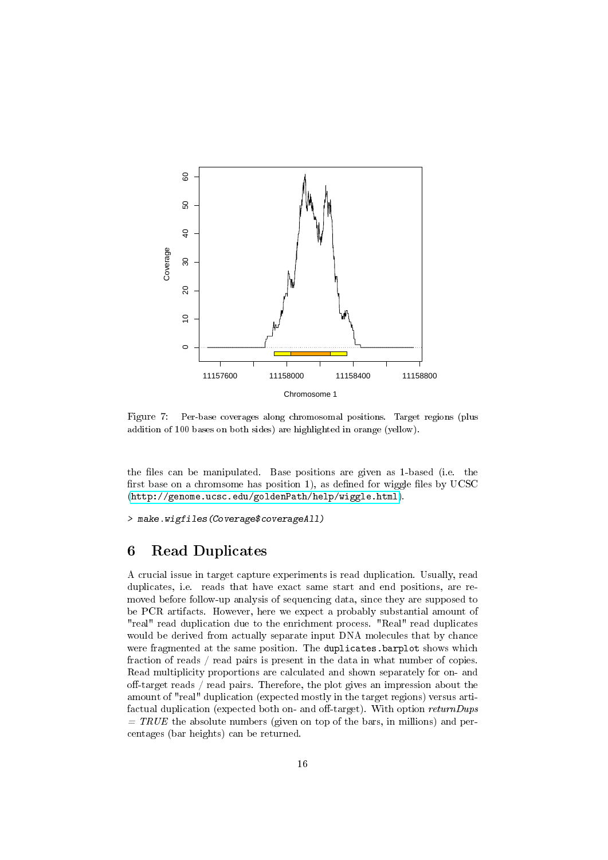

<span id="page-15-1"></span>Figure 7: Per-base coverages along chromosomal positions. Target regions (plus addition of 100 bases on both sides) are highlighted in orange (yellow).

the files can be manipulated. Base positions are given as 1-based (i.e. the first base on a chromsome has position 1), as defined for wiggle files by  $UCSC$ [\(http://genome.ucsc.edu/goldenPath/help/wiggle.html\)](http://genome.ucsc.edu/goldenPath/help/wiggle.html).

> make.wigfiles(Coverage\$coverageAll)

### <span id="page-15-0"></span>6 Read Duplicates

A crucial issue in target capture experiments is read duplication. Usually, read duplicates, i.e. reads that have exact same start and end positions, are removed before follow-up analysis of sequencing data, since they are supposed to be PCR artifacts. However, here we expect a probably substantial amount of "real" read duplication due to the enrichment process. "Real" read duplicates would be derived from actually separate input DNA molecules that by chance were fragmented at the same position. The duplicates.barplot shows which fraction of reads / read pairs is present in the data in what number of copies. Read multiplicity proportions are calculated and shown separately for on- and off-target reads / read pairs. Therefore, the plot gives an impression about the amount of "real" duplication (expected mostly in the target regions) versus artifactual duplication (expected both on- and off-target). With option  $returnDups$  $= TRUE$  the absolute numbers (given on top of the bars, in millions) and percentages (bar heights) can be returned.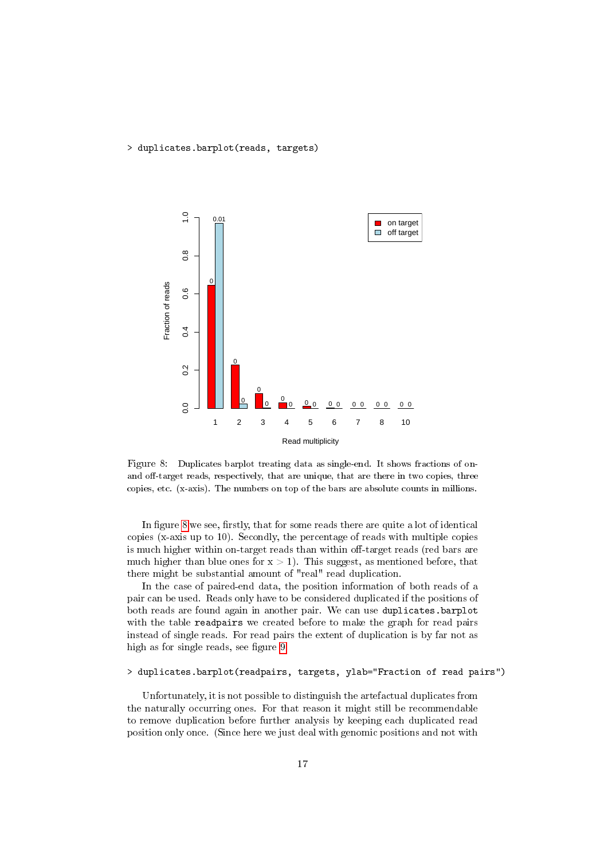> duplicates.barplot(reads, targets)



<span id="page-16-0"></span>Figure 8: Duplicates barplot treating data as single-end. It shows fractions of onand off-target reads, respectively, that are unique, that are there in two copies, three copies, etc. (x-axis). The numbers on top of the bars are absolute counts in millions.

In figure [8](#page-16-0) we see, firstly, that for some reads there are quite a lot of identical copies (x-axis up to 10). Secondly, the percentage of reads with multiple copies is much higher within on-target reads than within off-target reads (red bars are much higher than blue ones for  $x > 1$ ). This suggest, as mentioned before, that there might be substantial amount of "real" read duplication.

In the case of paired-end data, the position information of both reads of a pair can be used. Reads only have to be considered duplicated if the positions of both reads are found again in another pair. We can use duplicates.barplot with the table readpairs we created before to make the graph for read pairs instead of single reads. For read pairs the extent of duplication is by far not as high as for single reads, see figure [9.](#page-17-0)

### > duplicates.barplot(readpairs, targets, ylab="Fraction of read pairs")

Unfortunately, it is not possible to distinguish the artefactual duplicates from the naturally occurring ones. For that reason it might still be recommendable to remove duplication before further analysis by keeping each duplicated read position only once. (Since here we just deal with genomic positions and not with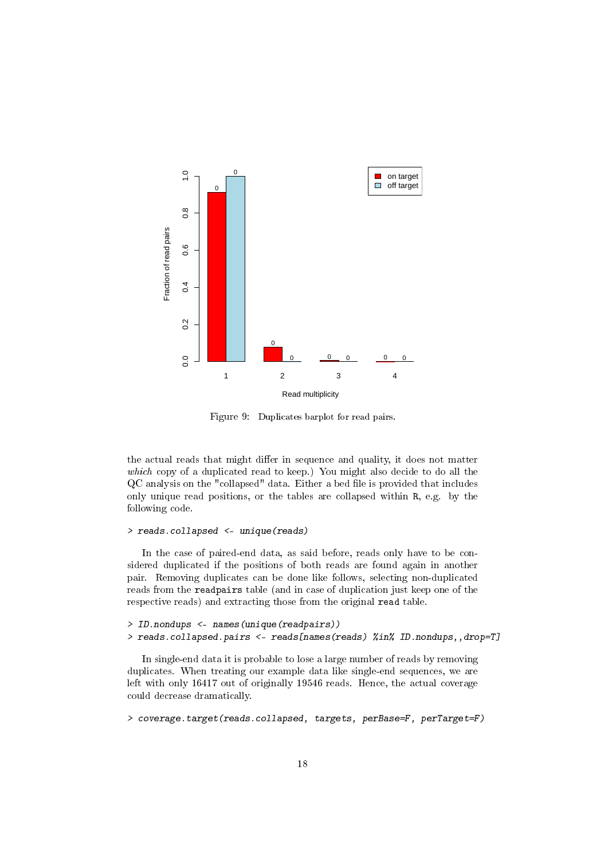

<span id="page-17-0"></span>Figure 9: Duplicates barplot for read pairs.

the actual reads that might differ in sequence and quality, it does not matter which copy of a duplicated read to keep.) You might also decide to do all the QC analysis on the "collapsed" data. Either a bed file is provided that includes only unique read positions, or the tables are collapsed within R, e.g. by the following code.

### > reads.collapsed <- unique(reads)

In the case of paired-end data, as said before, reads only have to be considered duplicated if the positions of both reads are found again in another pair. Removing duplicates can be done like follows, selecting non-duplicated reads from the readpairs table (and in case of duplication just keep one of the respective reads) and extracting those from the original read table.

```
> ID.nondups <- names(unique(readpairs))
> reads.collapsed.pairs <- reads[names(reads) %in% ID.nondups,,drop=T]
```
In single-end data it is probable to lose a large number of reads by removing duplicates. When treating our example data like single-end sequences, we are left with only 16417 out of originally 19546 reads. Hence, the actual coverage could decrease dramatically.

> coverage.target(reads.collapsed, targets, perBase=F, perTarget=F)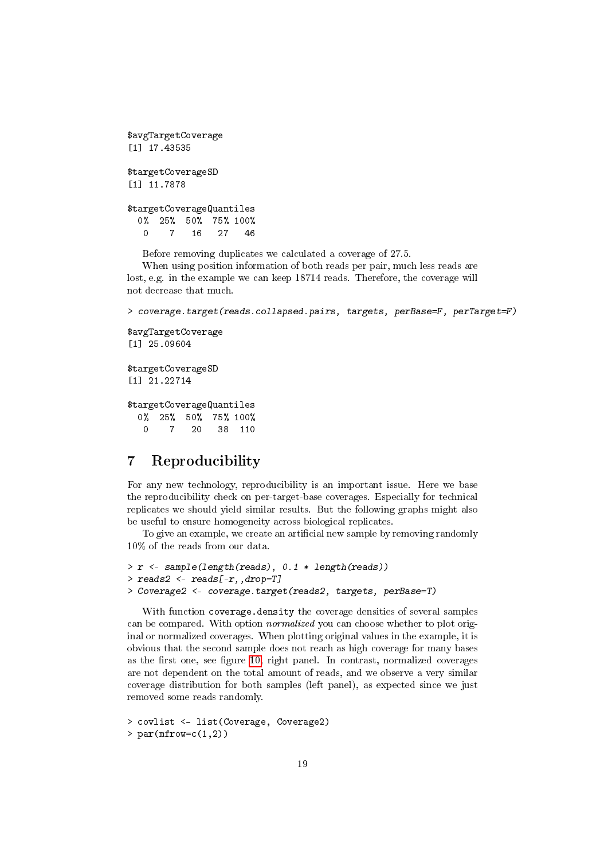\$avgTargetCoverage [1] 17.43535 \$targetCoverageSD [1] 11.7878 \$targetCoverageQuantiles 0% 25% 50% 75% 100% 0 7 16 27 46

Before removing duplicates we calculated a coverage of 27.5.

When using position information of both reads per pair, much less reads are lost, e.g. in the example we can keep 18714 reads. Therefore, the coverage will not decrease that much.

> coverage.target(reads.collapsed.pairs, targets, perBase=F, perTarget=F)

```
$avgTargetCoverage
[1] 25.09604
```

```
$targetCoverageSD
[1] 21.22714
```
\$targetCoverageQuantiles 0% 25% 50% 75% 100% 0 7 20 38 110

# <span id="page-18-0"></span>7 Reproducibility

For any new technology, reproducibility is an important issue. Here we base the reproducibility check on per-target-base coverages. Especially for technical replicates we should yield similar results. But the following graphs might also be useful to ensure homogeneity across biological replicates.

To give an example, we create an artificial new sample by removing randomly 10% of the reads from our data.

```
> r <- sample(length(reads), 0.1 * length(reads))
> reads2 <- reads[-r,,drop=T]
> Coverage2 <- coverage.target(reads2, targets, perBase=T)
```
With function coverage.density the coverage densities of several samples can be compared. With option normalized you can choose whether to plot original or normalized coverages. When plotting original values in the example, it is obvious that the second sample does not reach as high coverage for many bases as the first one, see figure [10,](#page-19-0) right panel. In contrast, normalized coverages are not dependent on the total amount of reads, and we observe a very similar coverage distribution for both samples (left panel), as expected since we just removed some reads randomly.

```
> covlist <- list(Coverage, Coverage2)
> par(mfrow=c(1,2))
```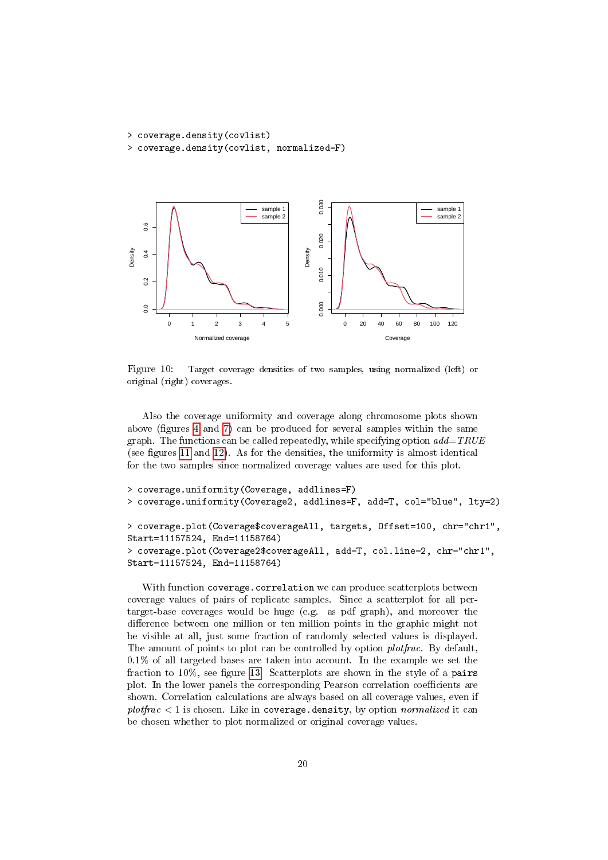```
> coverage.density(covlist)
> coverage.density(covlist, normalized=F)
```


<span id="page-19-0"></span>Figure 10: Target coverage densities of two samples, using normalized (left) or original (right) coverages.

Also the coverage uniformity and coverage along chromosome plots shown above (figures  $4$  and  $7$ ) can be produced for several samples within the same graph. The functions can be called repeatedly, while specifying option  $add = TRUE$ (see figures [11](#page-20-2) and [12\)](#page-21-1). As for the densities, the uniformity is almost identical for the two samples since normalized coverage values are used for this plot.

```
> coverage.uniformity(Coverage, addlines=F)
> coverage.uniformity(Coverage2, addlines=F, add=T, col="blue", lty=2)
> coverage.plot(Coverage$coverageAll, targets, Offset=100, chr="chr1",
Start=11157524, End=11158764)
> coverage.plot(Coverage2$coverageAll, add=T, col.line=2, chr="chr1",
Start=11157524, End=11158764)
```
With function coverage.correlation we can produce scatterplots between coverage values of pairs of replicate samples. Since a scatterplot for all pertarget-base coverages would be huge (e.g. as pdf graph), and moreover the difference between one million or ten million points in the graphic might not be visible at all, just some fraction of randomly selected values is displayed. The amount of points to plot can be controlled by option *plotfrac*. By default, 0.1% of all targeted bases are taken into account. In the example we set the fraction to  $10\%$ , see figure [13.](#page-22-0) Scatterplots are shown in the style of a pairs plot. In the lower panels the corresponding Pearson correlation coefficients are shown. Correlation calculations are always based on all coverage values, even if  $plotfrac < 1$  is chosen. Like in coverage.density, by option normalized it can be chosen whether to plot normalized or original coverage values.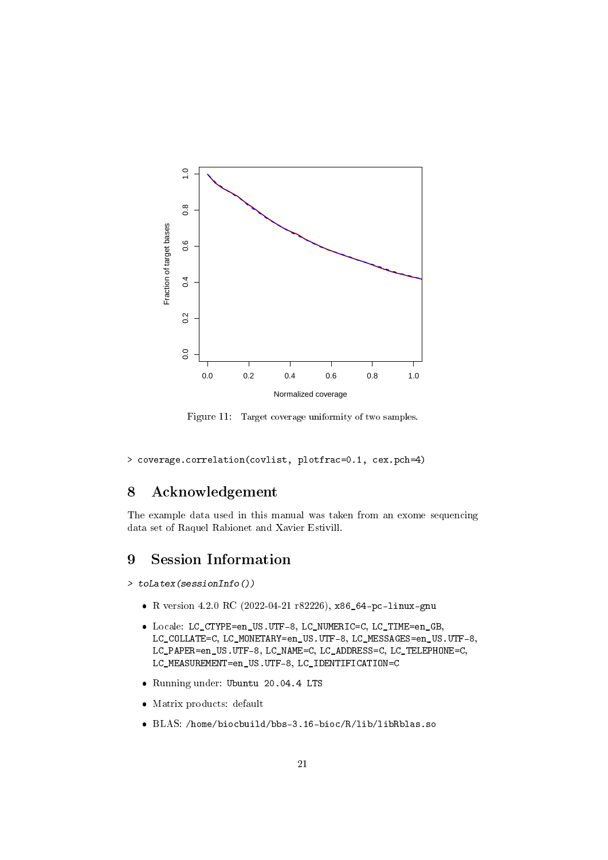

<span id="page-20-2"></span>Figure 11: Target coverage uniformity of two samples.

> coverage.correlation(covlist, plotfrac=0.1, cex.pch=4)

# <span id="page-20-0"></span>8 Acknowledgement

The example data used in this manual was taken from an exome sequencing data set of Raquel Rabionet and Xavier Estivill.

# <span id="page-20-1"></span>9 Session Information

> toLatex(sessionInfo())

- R version 4.2.0 RC (2022-04-21 r82226), x86\_64-pc-linux-gnu
- Locale: LC\_CTYPE=en\_US.UTF-8, LC\_NUMERIC=C, LC\_TIME=en\_GB, LC\_COLLATE=C, LC\_MONETARY=en\_US.UTF-8, LC\_MESSAGES=en\_US.UTF-8, LC\_PAPER=en\_US.UTF-8, LC\_NAME=C, LC\_ADDRESS=C, LC\_TELEPHONE=C, LC\_MEASUREMENT=en\_US.UTF-8, LC\_IDENTIFICATION=C
- Running under: Ubuntu 20.04.4 LTS
- Matrix products: default
- BLAS: /home/biocbuild/bbs-3.16-bioc/R/lib/libRblas.so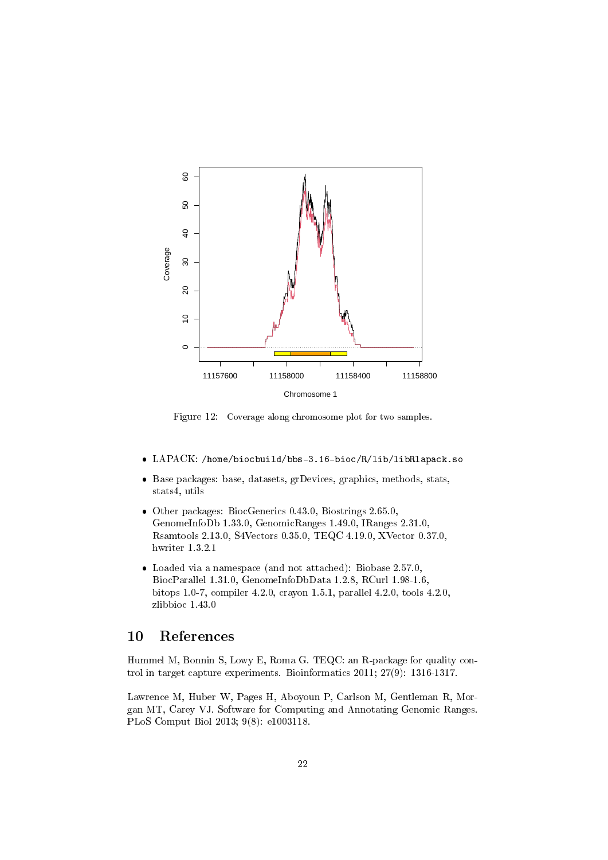

<span id="page-21-1"></span>Figure 12: Coverage along chromosome plot for two samples.

- LAPACK: /home/biocbuild/bbs-3.16-bioc/R/lib/libRlapack.so
- Base packages: base, datasets, grDevices, graphics, methods, stats, stats4, utils
- Other packages: BiocGenerics 0.43.0, Biostrings 2.65.0, GenomeInfoDb 1.33.0, GenomicRanges 1.49.0, IRanges 2.31.0, Rsamtools 2.13.0, S4Vectors 0.35.0, TEQC 4.19.0, XVector 0.37.0, hwriter 1.3.2.1
- Loaded via a namespace (and not attached): Biobase 2.57.0, BiocParallel 1.31.0, GenomeInfoDbData 1.2.8, RCurl 1.98-1.6, bitops 1.0-7, compiler 4.2.0, crayon 1.5.1, parallel 4.2.0, tools 4.2.0, zlibbioc 1.43.0

### <span id="page-21-0"></span>10 References

Hummel M, Bonnin S, Lowy E, Roma G. TEQC: an R-package for quality control in target capture experiments. Bioinformatics 2011; 27(9): 1316-1317.

Lawrence M, Huber W, Pages H, Aboyoun P, Carlson M, Gentleman R, Morgan MT, Carey VJ. Software for Computing and Annotating Genomic Ranges. PLoS Comput Biol 2013; 9(8): e1003118.